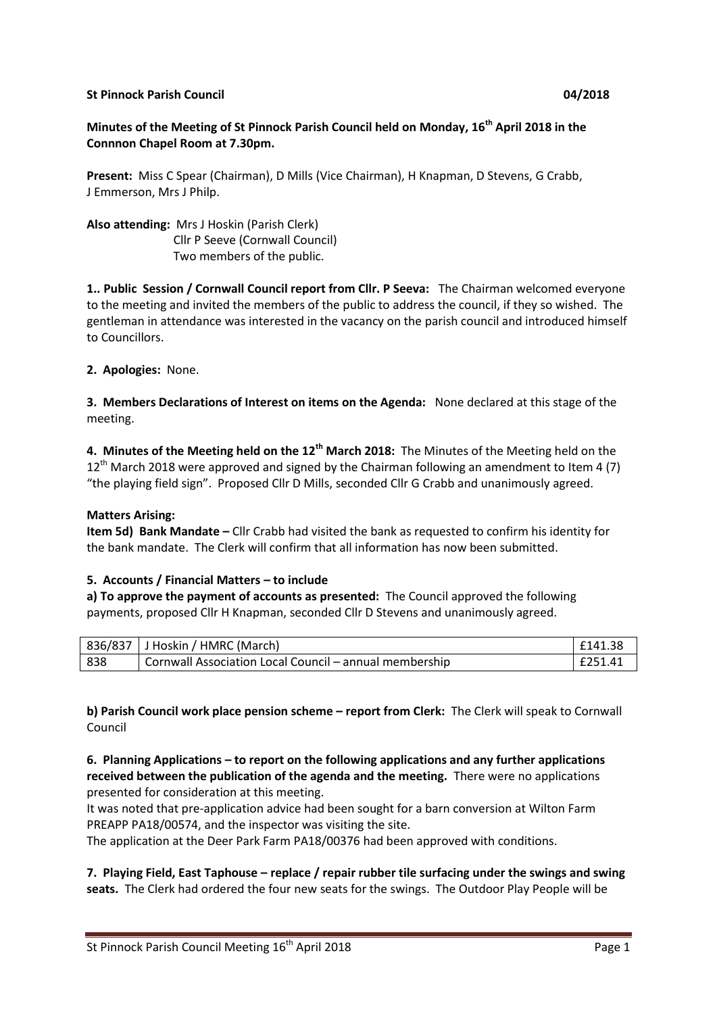#### **St Pinnock Parish Council 04/2018**

### **Minutes of the Meeting of St Pinnock Parish Council held on Monday, 16th April 2018 in the Connnon Chapel Room at 7.30pm.**

**Present:** Miss C Spear (Chairman), D Mills (Vice Chairman), H Knapman, D Stevens, G Crabb, J Emmerson, Mrs J Philp.

**Also attending:** Mrs J Hoskin (Parish Clerk) Cllr P Seeve (Cornwall Council) Two members of the public.

**1.. Public Session / Cornwall Council report from Cllr. P Seeva:** The Chairman welcomed everyone to the meeting and invited the members of the public to address the council, if they so wished. The gentleman in attendance was interested in the vacancy on the parish council and introduced himself to Councillors.

**2. Apologies:** None.

**3. Members Declarations of Interest on items on the Agenda:** None declared at this stage of the meeting.

**4. Minutes of the Meeting held on the 12th March 2018:** The Minutes of the Meeting held on the  $12^{th}$  March 2018 were approved and signed by the Chairman following an amendment to Item 4 (7) "the playing field sign". Proposed Cllr D Mills, seconded Cllr G Crabb and unanimously agreed.

#### **Matters Arising:**

**Item 5d) Bank Mandate –** Cllr Crabb had visited the bank as requested to confirm his identity for the bank mandate. The Clerk will confirm that all information has now been submitted.

#### **5. Accounts / Financial Matters – to include**

**a) To approve the payment of accounts as presented:** The Council approved the following payments, proposed Cllr H Knapman, seconded Cllr D Stevens and unanimously agreed.

|      | 836/837 J Hoskin / HMRC (March)                        | £141.38 |
|------|--------------------------------------------------------|---------|
| -838 | Cornwall Association Local Council – annual membership | £251.41 |

**b) Parish Council work place pension scheme – report from Clerk:** The Clerk will speak to Cornwall Council

**6. Planning Applications – to report on the following applications and any further applications received between the publication of the agenda and the meeting.** There were no applications presented for consideration at this meeting.

It was noted that pre-application advice had been sought for a barn conversion at Wilton Farm PREAPP PA18/00574, and the inspector was visiting the site.

The application at the Deer Park Farm PA18/00376 had been approved with conditions.

**7. Playing Field, East Taphouse – replace / repair rubber tile surfacing under the swings and swing seats.** The Clerk had ordered the four new seats for the swings. The Outdoor Play People will be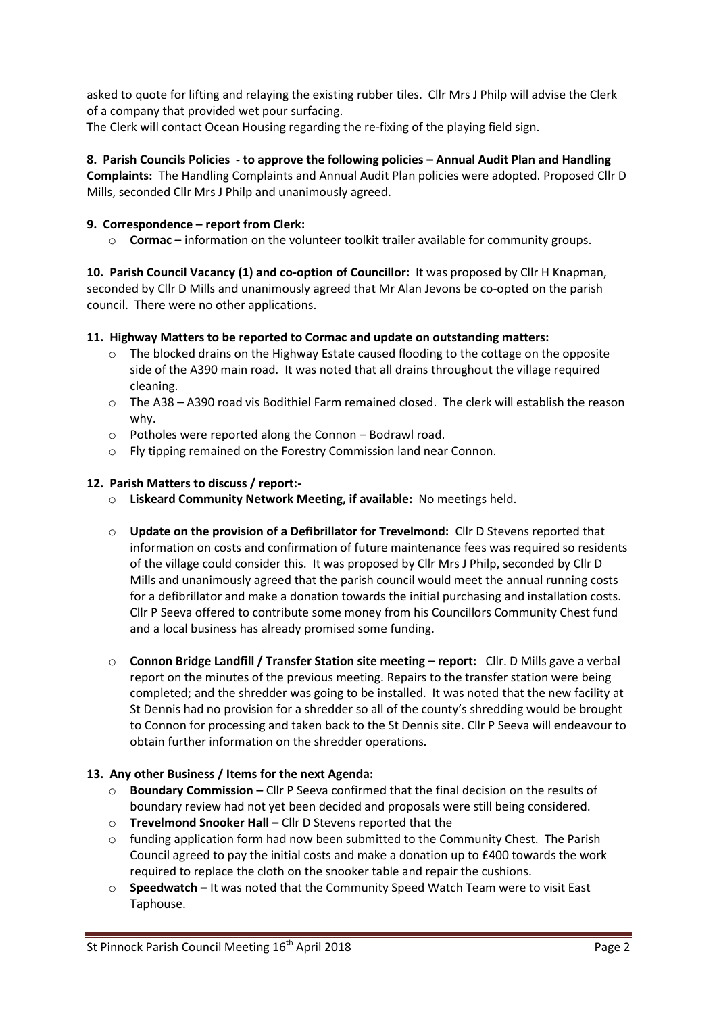asked to quote for lifting and relaying the existing rubber tiles. Cllr Mrs J Philp will advise the Clerk of a company that provided wet pour surfacing.

The Clerk will contact Ocean Housing regarding the re-fixing of the playing field sign.

**8. Parish Councils Policies - to approve the following policies – Annual Audit Plan and Handling Complaints:** The Handling Complaints and Annual Audit Plan policies were adopted. Proposed Cllr D Mills, seconded Cllr Mrs J Philp and unanimously agreed.

# **9. Correspondence – report from Clerk:**

o **Cormac –** information on the volunteer toolkit trailer available for community groups.

**10. Parish Council Vacancy (1) and co-option of Councillor:** It was proposed by Cllr H Knapman, seconded by Cllr D Mills and unanimously agreed that Mr Alan Jevons be co-opted on the parish council. There were no other applications.

# **11. Highway Matters to be reported to Cormac and update on outstanding matters:**

- o The blocked drains on the Highway Estate caused flooding to the cottage on the opposite side of the A390 main road. It was noted that all drains throughout the village required cleaning.
- o The A38 A390 road vis Bodithiel Farm remained closed. The clerk will establish the reason why.
- o Potholes were reported along the Connon Bodrawl road.
- o Fly tipping remained on the Forestry Commission land near Connon.

# **12. Parish Matters to discuss / report:-**

- o **Liskeard Community Network Meeting, if available:** No meetings held.
- o **Update on the provision of a Defibrillator for Trevelmond:** Cllr D Stevens reported that information on costs and confirmation of future maintenance fees was required so residents of the village could consider this. It was proposed by Cllr Mrs J Philp, seconded by Cllr D Mills and unanimously agreed that the parish council would meet the annual running costs for a defibrillator and make a donation towards the initial purchasing and installation costs. Cllr P Seeva offered to contribute some money from his Councillors Community Chest fund and a local business has already promised some funding.
- o **Connon Bridge Landfill / Transfer Station site meeting – report:** Cllr. D Mills gave a verbal report on the minutes of the previous meeting. Repairs to the transfer station were being completed; and the shredder was going to be installed. It was noted that the new facility at St Dennis had no provision for a shredder so all of the county's shredding would be brought to Connon for processing and taken back to the St Dennis site. Cllr P Seeva will endeavour to obtain further information on the shredder operations.

### **13. Any other Business / Items for the next Agenda:**

- o **Boundary Commission –** Cllr P Seeva confirmed that the final decision on the results of boundary review had not yet been decided and proposals were still being considered.
- o **Trevelmond Snooker Hall –** Cllr D Stevens reported that the
- $\circ$  funding application form had now been submitted to the Community Chest. The Parish Council agreed to pay the initial costs and make a donation up to £400 towards the work required to replace the cloth on the snooker table and repair the cushions.
- o **Speedwatch –** It was noted that the Community Speed Watch Team were to visit East Taphouse.